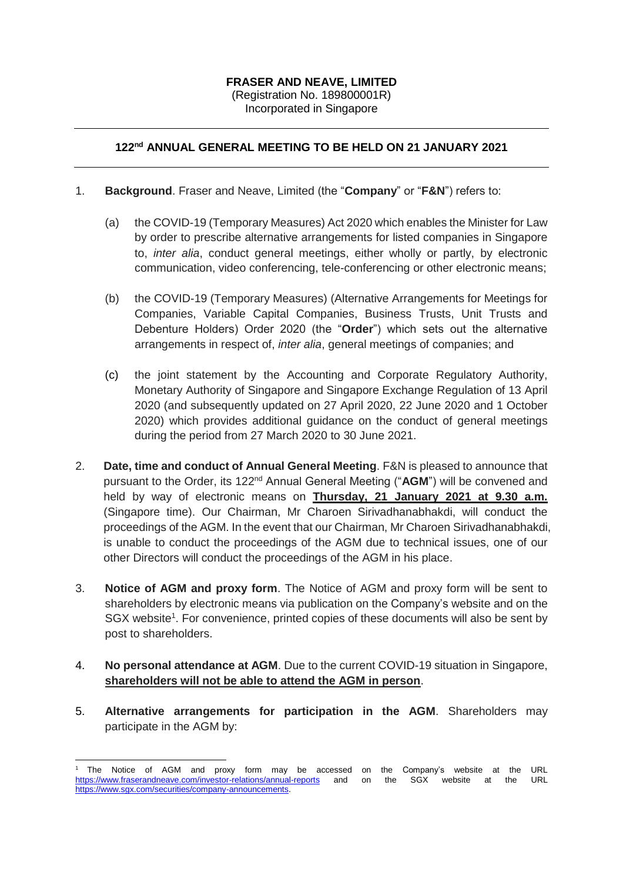# **FRASER AND NEAVE, LIMITED** (Registration No. 189800001R)

Incorporated in Singapore

## **122nd ANNUAL GENERAL MEETING TO BE HELD ON 21 JANUARY 2021**

### 1. **Background**. Fraser and Neave, Limited (the "**Company**" or "**F&N**") refers to:

- (a) the COVID-19 (Temporary Measures) Act 2020 which enables the Minister for Law by order to prescribe alternative arrangements for listed companies in Singapore to, *inter alia*, conduct general meetings, either wholly or partly, by electronic communication, video conferencing, tele-conferencing or other electronic means;
- (b) the COVID-19 (Temporary Measures) (Alternative Arrangements for Meetings for Companies, Variable Capital Companies, Business Trusts, Unit Trusts and Debenture Holders) Order 2020 (the "**Order**") which sets out the alternative arrangements in respect of, *inter alia*, general meetings of companies; and
- (c) the joint statement by the Accounting and Corporate Regulatory Authority, Monetary Authority of Singapore and Singapore Exchange Regulation of 13 April 2020 (and subsequently updated on 27 April 2020, 22 June 2020 and 1 October 2020) which provides additional guidance on the conduct of general meetings during the period from 27 March 2020 to 30 June 2021.
- 2. **Date, time and conduct of Annual General Meeting**. F&N is pleased to announce that pursuant to the Order, its 122nd Annual General Meeting ("**AGM**") will be convened and held by way of electronic means on **Thursday, 21 January 2021 at 9.30 a.m.** (Singapore time). Our Chairman, Mr Charoen Sirivadhanabhakdi, will conduct the proceedings of the AGM. In the event that our Chairman, Mr Charoen Sirivadhanabhakdi, is unable to conduct the proceedings of the AGM due to technical issues, one of our other Directors will conduct the proceedings of the AGM in his place.
- 3. **Notice of AGM and proxy form**. The Notice of AGM and proxy form will be sent to shareholders by electronic means via publication on the Company's website and on the SGX website<sup>1</sup>. For convenience, printed copies of these documents will also be sent by post to shareholders.
- 4. **No personal attendance at AGM**. Due to the current COVID-19 situation in Singapore, **shareholders will not be able to attend the AGM in person**.
- 5. **Alternative arrangements for participation in the AGM**. Shareholders may participate in the AGM by:

 $\overline{a}$ <sup>1</sup> The Notice of AGM and proxy form may be accessed on the Company's website at the URL <https://www.fraserandneave.com/investor-relations/annual-reports> and on the SGX website at the URL [https://www.sgx.com/securities/company-announcements.](https://www.sgx.com/securities/company-announcements)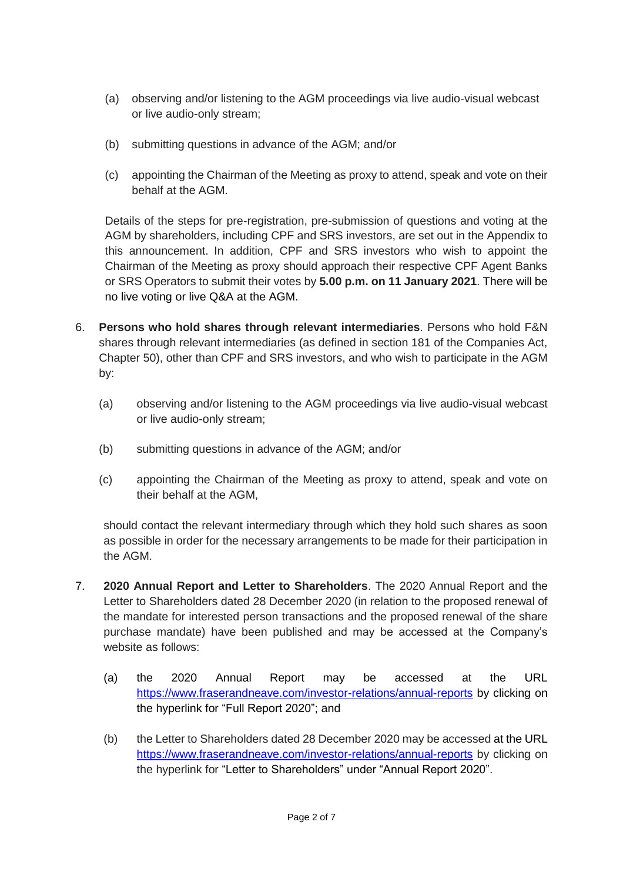- (a) observing and/or listening to the AGM proceedings via live audio-visual webcast or live audio-only stream;
- (b) submitting questions in advance of the AGM; and/or
- (c) appointing the Chairman of the Meeting as proxy to attend, speak and vote on their behalf at the AGM.

Details of the steps for pre-registration, pre-submission of questions and voting at the AGM by shareholders, including CPF and SRS investors, are set out in the Appendix to this announcement. In addition, CPF and SRS investors who wish to appoint the Chairman of the Meeting as proxy should approach their respective CPF Agent Banks or SRS Operators to submit their votes by **5.00 p.m. on 11 January 2021**. There will be no live voting or live Q&A at the AGM.

- 6. **Persons who hold shares through relevant intermediaries**. Persons who hold F&N shares through relevant intermediaries (as defined in section 181 of the Companies Act, Chapter 50), other than CPF and SRS investors, and who wish to participate in the AGM by:
	- (a) observing and/or listening to the AGM proceedings via live audio-visual webcast or live audio-only stream;
	- (b) submitting questions in advance of the AGM; and/or
	- (c) appointing the Chairman of the Meeting as proxy to attend, speak and vote on their behalf at the AGM,

should contact the relevant intermediary through which they hold such shares as soon as possible in order for the necessary arrangements to be made for their participation in the AGM.

- 7. **2020 Annual Report and Letter to Shareholders**. The 2020 Annual Report and the Letter to Shareholders dated 28 December 2020 (in relation to the proposed renewal of the mandate for interested person transactions and the proposed renewal of the share purchase mandate) have been published and may be accessed at the Company's website as follows:
	- (a) the 2020 Annual Report may be accessed at the URL <https://www.fraserandneave.com/investor-relations/annual-reports> by clicking on the hyperlink for "Full Report 2020"; and
	- (b) the Letter to Shareholders dated 28 December 2020 may be accessed at the URL <https://www.fraserandneave.com/investor-relations/annual-reports> by clicking on the hyperlink for "Letter to Shareholders" under "Annual Report 2020".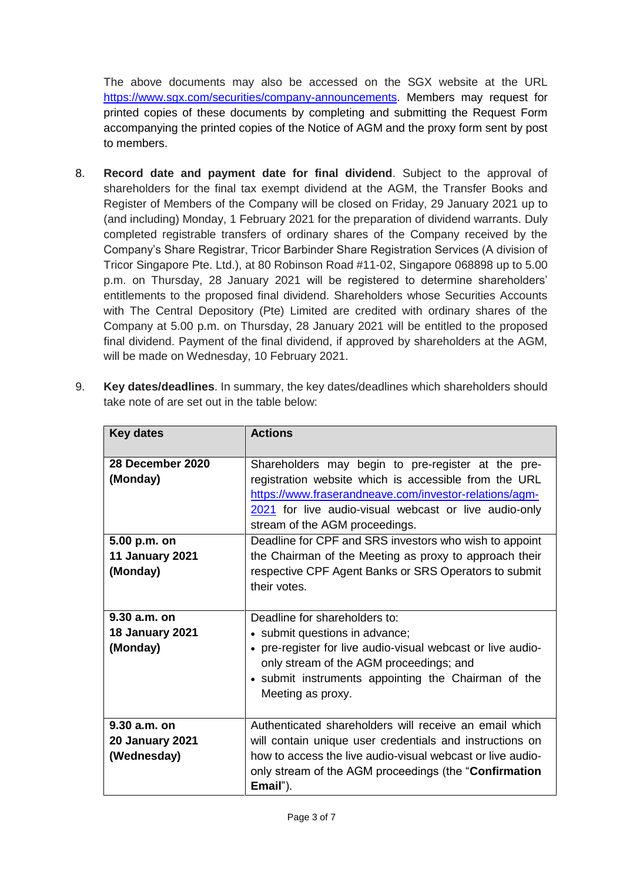The above documents may also be accessed on the SGX website at the URL [https://www.sgx.com/securities/company-announcements.](https://www.sgx.com/securities/company-announcements) Members may request for printed copies of these documents by completing and submitting the Request Form accompanying the printed copies of the Notice of AGM and the proxy form sent by post to members.

- 8. **Record date and payment date for final dividend**. Subject to the approval of shareholders for the final tax exempt dividend at the AGM, the Transfer Books and Register of Members of the Company will be closed on Friday, 29 January 2021 up to (and including) Monday, 1 February 2021 for the preparation of dividend warrants. Duly completed registrable transfers of ordinary shares of the Company received by the Company's Share Registrar, Tricor Barbinder Share Registration Services (A division of Tricor Singapore Pte. Ltd.), at 80 Robinson Road #11-02, Singapore 068898 up to 5.00 p.m. on Thursday, 28 January 2021 will be registered to determine shareholders' entitlements to the proposed final dividend. Shareholders whose Securities Accounts with The Central Depository (Pte) Limited are credited with ordinary shares of the Company at 5.00 p.m. on Thursday, 28 January 2021 will be entitled to the proposed final dividend. Payment of the final dividend, if approved by shareholders at the AGM, will be made on Wednesday, 10 February 2021.
- 9. **Key dates/deadlines**. In summary, the key dates/deadlines which shareholders should take note of are set out in the table below:

| <b>Key dates</b>                                                                   | <b>Actions</b>                                                                                                                                                                                                                                                                                                                                                                                                                                                |
|------------------------------------------------------------------------------------|---------------------------------------------------------------------------------------------------------------------------------------------------------------------------------------------------------------------------------------------------------------------------------------------------------------------------------------------------------------------------------------------------------------------------------------------------------------|
| 28 December 2020<br>(Monday)<br>5.00 p.m. on<br><b>11 January 2021</b><br>(Monday) | Shareholders may begin to pre-register at the pre-<br>registration website which is accessible from the URL<br>https://www.fraserandneave.com/investor-relations/agm-<br>2021 for live audio-visual webcast or live audio-only<br>stream of the AGM proceedings.<br>Deadline for CPF and SRS investors who wish to appoint<br>the Chairman of the Meeting as proxy to approach their<br>respective CPF Agent Banks or SRS Operators to submit<br>their votes. |
| 9.30 a.m. on<br><b>18 January 2021</b><br>(Monday)                                 | Deadline for shareholders to:<br>• submit questions in advance;<br>• pre-register for live audio-visual webcast or live audio-<br>only stream of the AGM proceedings; and<br>• submit instruments appointing the Chairman of the<br>Meeting as proxy.                                                                                                                                                                                                         |
| $9.30 a.m.$ on<br><b>20 January 2021</b><br>(Wednesday)                            | Authenticated shareholders will receive an email which<br>will contain unique user credentials and instructions on<br>how to access the live audio-visual webcast or live audio-<br>only stream of the AGM proceedings (the " <b>Confirmation</b><br>Email").                                                                                                                                                                                                 |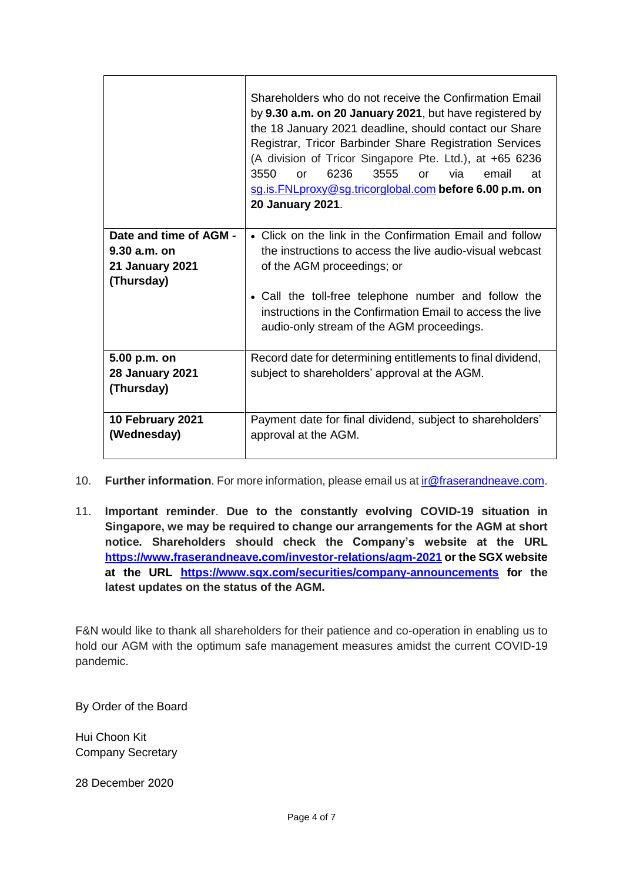|                                                                                  | Shareholders who do not receive the Confirmation Email<br>by 9.30 a.m. on 20 January 2021, but have registered by<br>the 18 January 2021 deadline, should contact our Share<br>Registrar, Tricor Barbinder Share Registration Services<br>(A division of Tricor Singapore Pte. Ltd.), at +65 6236<br>3550<br>6236<br>3555<br>via.<br>email<br>or<br>at<br>$\alpha$<br>sg.is.FNLproxy@sg.tricorglobal.com before 6.00 p.m. on<br>20 January 2021. |
|----------------------------------------------------------------------------------|--------------------------------------------------------------------------------------------------------------------------------------------------------------------------------------------------------------------------------------------------------------------------------------------------------------------------------------------------------------------------------------------------------------------------------------------------|
| Date and time of AGM -<br>$9.30$ a.m. on<br><b>21 January 2021</b><br>(Thursday) | • Click on the link in the Confirmation Email and follow<br>the instructions to access the live audio-visual webcast<br>of the AGM proceedings; or<br>• Call the toll-free telephone number and follow the<br>instructions in the Confirmation Email to access the live<br>audio-only stream of the AGM proceedings.                                                                                                                             |
| 5.00 p.m. on<br><b>28 January 2021</b><br>(Thursday)                             | Record date for determining entitlements to final dividend,<br>subject to shareholders' approval at the AGM.                                                                                                                                                                                                                                                                                                                                     |
| 10 February 2021<br>(Wednesday)                                                  | Payment date for final dividend, subject to shareholders'<br>approval at the AGM.                                                                                                                                                                                                                                                                                                                                                                |

- 10. **Further information**. For more information, please email us a[t ir@fraserandneave.com.](mailto:ir@fraserandneave.com)
- 11. **Important reminder**. **Due to the constantly evolving COVID-19 situation in Singapore, we may be required to change our arrangements for the AGM at short notice. Shareholders should check the Company's website at the URL <https://www.fraserandneave.com/investor-relations/agm-2021> or the SGX website at the URL <https://www.sgx.com/securities/company-announcements> for the latest updates on the status of the AGM.**

F&N would like to thank all shareholders for their patience and co-operation in enabling us to hold our AGM with the optimum safe management measures amidst the current COVID-19 pandemic.

By Order of the Board

Hui Choon Kit Company Secretary

28 December 2020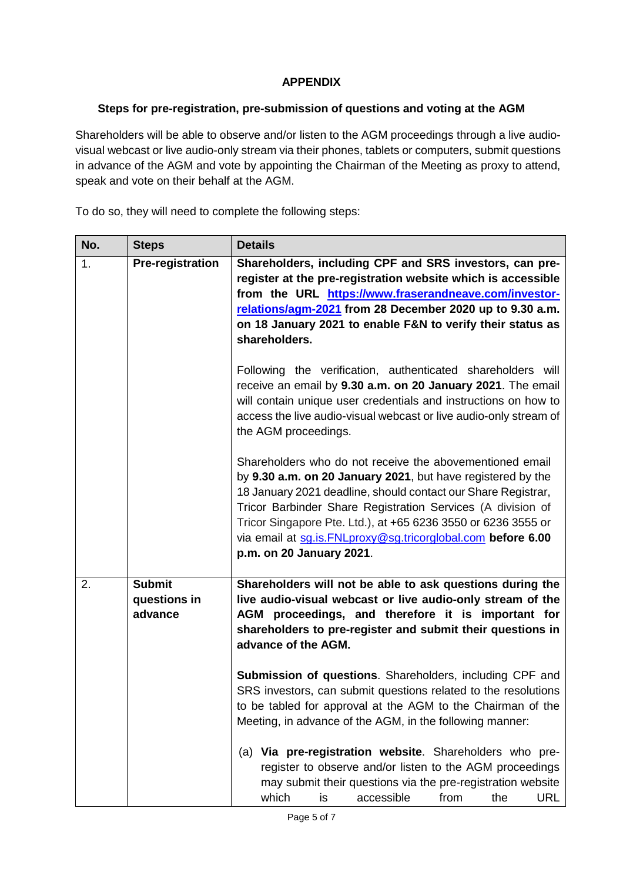## **APPENDIX**

#### **Steps for pre-registration, pre-submission of questions and voting at the AGM**

Shareholders will be able to observe and/or listen to the AGM proceedings through a live audiovisual webcast or live audio-only stream via their phones, tablets or computers, submit questions in advance of the AGM and vote by appointing the Chairman of the Meeting as proxy to attend, speak and vote on their behalf at the AGM.

To do so, they will need to complete the following steps:

| No. | <b>Steps</b>                             | <b>Details</b>                                                                                                                                                                                                                                                                                                                                                                                                       |
|-----|------------------------------------------|----------------------------------------------------------------------------------------------------------------------------------------------------------------------------------------------------------------------------------------------------------------------------------------------------------------------------------------------------------------------------------------------------------------------|
| 1.  | <b>Pre-registration</b>                  | Shareholders, including CPF and SRS investors, can pre-<br>register at the pre-registration website which is accessible<br>from the URL https://www.fraserandneave.com/investor-<br>relations/agm-2021 from 28 December 2020 up to 9.30 a.m.<br>on 18 January 2021 to enable F&N to verify their status as<br>shareholders.                                                                                          |
|     |                                          | Following the verification, authenticated shareholders will<br>receive an email by 9.30 a.m. on 20 January 2021. The email<br>will contain unique user credentials and instructions on how to<br>access the live audio-visual webcast or live audio-only stream of<br>the AGM proceedings.                                                                                                                           |
|     |                                          | Shareholders who do not receive the abovementioned email<br>by 9.30 a.m. on 20 January 2021, but have registered by the<br>18 January 2021 deadline, should contact our Share Registrar,<br>Tricor Barbinder Share Registration Services (A division of<br>Tricor Singapore Pte. Ltd.), at +65 6236 3550 or 6236 3555 or<br>via email at sg.is. FNLproxy@sg.tricorglobal.com before 6.00<br>p.m. on 20 January 2021. |
| 2.  | <b>Submit</b><br>questions in<br>advance | Shareholders will not be able to ask questions during the<br>live audio-visual webcast or live audio-only stream of the<br>AGM proceedings, and therefore it is important for<br>shareholders to pre-register and submit their questions in<br>advance of the AGM.                                                                                                                                                   |
|     |                                          | Submission of questions. Shareholders, including CPF and<br>SRS investors, can submit questions related to the resolutions<br>to be tabled for approval at the AGM to the Chairman of the<br>Meeting, in advance of the AGM, in the following manner:                                                                                                                                                                |
|     |                                          | (a) Via pre-registration website. Shareholders who pre-<br>register to observe and/or listen to the AGM proceedings<br>may submit their questions via the pre-registration website<br>accessible<br>which<br><b>URL</b><br>from<br>the<br>is                                                                                                                                                                         |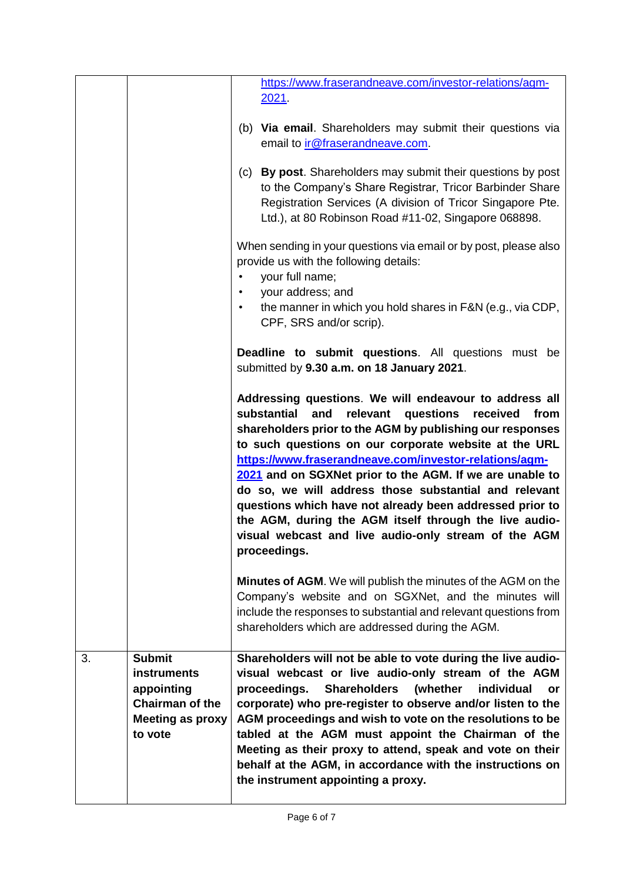|    |                                                                                                                   | https://www.fraserandneave.com/investor-relations/agm-                                                                                                                                                                                                                                                                                                                                                                                                                                                                                                                                                                       |
|----|-------------------------------------------------------------------------------------------------------------------|------------------------------------------------------------------------------------------------------------------------------------------------------------------------------------------------------------------------------------------------------------------------------------------------------------------------------------------------------------------------------------------------------------------------------------------------------------------------------------------------------------------------------------------------------------------------------------------------------------------------------|
|    |                                                                                                                   | 2021.                                                                                                                                                                                                                                                                                                                                                                                                                                                                                                                                                                                                                        |
|    |                                                                                                                   | (b) Via email. Shareholders may submit their questions via<br>email to <i>ir@fraserandneave.com.</i>                                                                                                                                                                                                                                                                                                                                                                                                                                                                                                                         |
|    |                                                                                                                   | (c) By post. Shareholders may submit their questions by post<br>to the Company's Share Registrar, Tricor Barbinder Share<br>Registration Services (A division of Tricor Singapore Pte.<br>Ltd.), at 80 Robinson Road #11-02, Singapore 068898.                                                                                                                                                                                                                                                                                                                                                                               |
|    |                                                                                                                   | When sending in your questions via email or by post, please also<br>provide us with the following details:<br>your full name;<br>your address; and                                                                                                                                                                                                                                                                                                                                                                                                                                                                           |
|    |                                                                                                                   | the manner in which you hold shares in F&N (e.g., via CDP,<br>CPF, SRS and/or scrip).                                                                                                                                                                                                                                                                                                                                                                                                                                                                                                                                        |
|    |                                                                                                                   | <b>Deadline to submit questions.</b> All questions must be<br>submitted by 9.30 a.m. on 18 January 2021.                                                                                                                                                                                                                                                                                                                                                                                                                                                                                                                     |
|    |                                                                                                                   | Addressing questions. We will endeavour to address all<br>substantial<br>relevant<br>questions<br>and<br>received<br>from<br>shareholders prior to the AGM by publishing our responses<br>to such questions on our corporate website at the URL<br>https://www.fraserandneave.com/investor-relations/agm-<br>2021 and on SGXNet prior to the AGM. If we are unable to<br>do so, we will address those substantial and relevant<br>questions which have not already been addressed prior to<br>the AGM, during the AGM itself through the live audio-<br>visual webcast and live audio-only stream of the AGM<br>proceedings. |
|    |                                                                                                                   | <b>Minutes of AGM.</b> We will publish the minutes of the AGM on the<br>Company's website and on SGXNet, and the minutes will<br>include the responses to substantial and relevant questions from<br>shareholders which are addressed during the AGM.                                                                                                                                                                                                                                                                                                                                                                        |
| 3. | <b>Submit</b><br><b>instruments</b><br>appointing<br><b>Chairman of the</b><br><b>Meeting as proxy</b><br>to vote | Shareholders will not be able to vote during the live audio-<br>visual webcast or live audio-only stream of the AGM<br>proceedings.<br><b>Shareholders</b><br>individual<br>(whether<br>or<br>corporate) who pre-register to observe and/or listen to the<br>AGM proceedings and wish to vote on the resolutions to be<br>tabled at the AGM must appoint the Chairman of the<br>Meeting as their proxy to attend, speak and vote on their<br>behalf at the AGM, in accordance with the instructions on<br>the instrument appointing a proxy.                                                                                 |